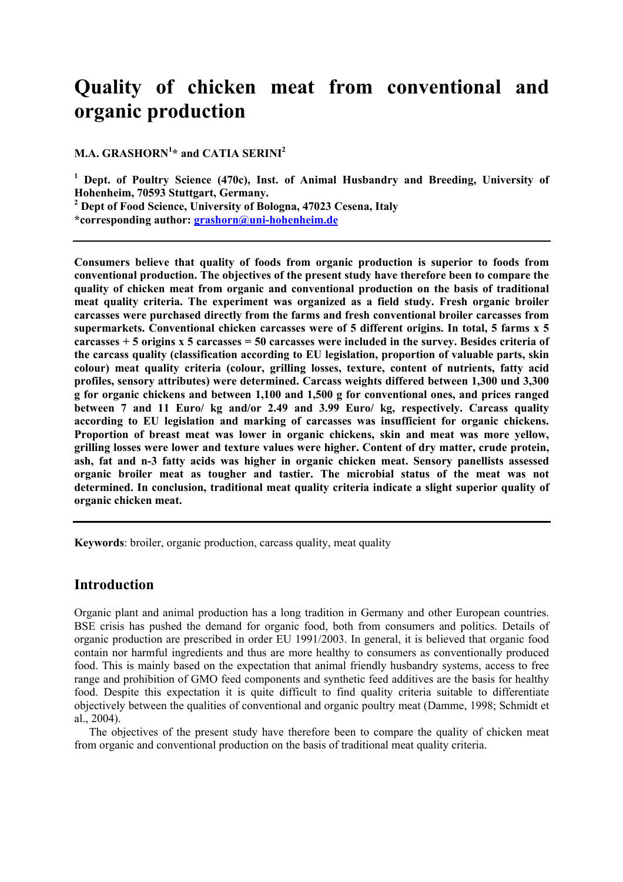# **Quality of chicken meat from conventional and organic production**

**M.A. GRASHORN<sup>1</sup> \* and CATIA SERINI2**

<sup>1</sup> Dept. of Poultry Science (470c), Inst. of Animal Husbandry and Breeding, University of **Hohenheim, 70593 Stuttgart, Germany.** 

**2 Dept of Food Science, University of Bologna, 47023 Cesena, Italy** 

**\*corresponding author: grashorn@uni-hohenheim.de**

**Consumers believe that quality of foods from organic production is superior to foods from conventional production. The objectives of the present study have therefore been to compare the quality of chicken meat from organic and conventional production on the basis of traditional meat quality criteria. The experiment was organized as a field study. Fresh organic broiler carcasses were purchased directly from the farms and fresh conventional broiler carcasses from supermarkets. Conventional chicken carcasses were of 5 different origins. In total, 5 farms x 5 carcasses + 5 origins x 5 carcasses = 50 carcasses were included in the survey. Besides criteria of the carcass quality (classification according to EU legislation, proportion of valuable parts, skin colour) meat quality criteria (colour, grilling losses, texture, content of nutrients, fatty acid profiles, sensory attributes) were determined. Carcass weights differed between 1,300 und 3,300 g for organic chickens and between 1,100 and 1,500 g for conventional ones, and prices ranged between 7 and 11 Euro/ kg and/or 2.49 and 3.99 Euro/ kg, respectively. Carcass quality according to EU legislation and marking of carcasses was insufficient for organic chickens. Proportion of breast meat was lower in organic chickens, skin and meat was more yellow, grilling losses were lower and texture values were higher. Content of dry matter, crude protein, ash, fat and n-3 fatty acids was higher in organic chicken meat. Sensory panellists assessed organic broiler meat as tougher and tastier. The microbial status of the meat was not determined. In conclusion, traditional meat quality criteria indicate a slight superior quality of organic chicken meat.** 

**Keywords**: broiler, organic production, carcass quality, meat quality

## **Introduction**

Organic plant and animal production has a long tradition in Germany and other European countries. BSE crisis has pushed the demand for organic food, both from consumers and politics. Details of organic production are prescribed in order EU 1991/2003. In general, it is believed that organic food contain nor harmful ingredients and thus are more healthy to consumers as conventionally produced food. This is mainly based on the expectation that animal friendly husbandry systems, access to free range and prohibition of GMO feed components and synthetic feed additives are the basis for healthy food. Despite this expectation it is quite difficult to find quality criteria suitable to differentiate objectively between the qualities of conventional and organic poultry meat (Damme, 1998; Schmidt et al., 2004).

 The objectives of the present study have therefore been to compare the quality of chicken meat from organic and conventional production on the basis of traditional meat quality criteria.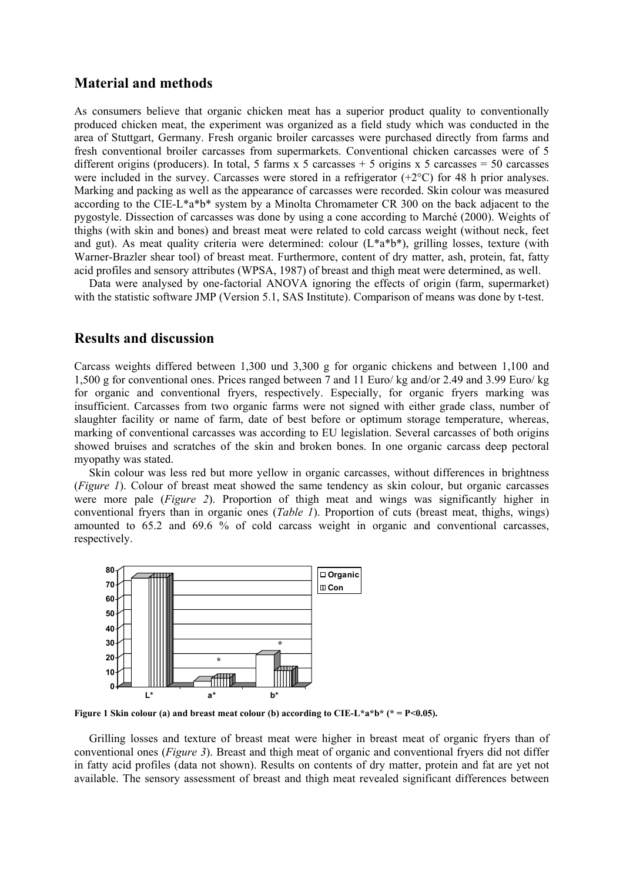#### **Material and methods**

As consumers believe that organic chicken meat has a superior product quality to conventionally produced chicken meat, the experiment was organized as a field study which was conducted in the area of Stuttgart, Germany. Fresh organic broiler carcasses were purchased directly from farms and fresh conventional broiler carcasses from supermarkets. Conventional chicken carcasses were of 5 different origins (producers). In total, 5 farms  $x$  5 carcasses + 5 origins  $x$  5 carcasses = 50 carcasses were included in the survey. Carcasses were stored in a refrigerator (+2°C) for 48 h prior analyses. Marking and packing as well as the appearance of carcasses were recorded. Skin colour was measured according to the CIE-L\*a\*b\* system by a Minolta Chromameter CR 300 on the back adjacent to the pygostyle. Dissection of carcasses was done by using a cone according to Marché (2000). Weights of thighs (with skin and bones) and breast meat were related to cold carcass weight (without neck, feet and gut). As meat quality criteria were determined: colour  $(L^*a^*b^*)$ , grilling losses, texture (with Warner-Brazler shear tool) of breast meat. Furthermore, content of dry matter, ash, protein, fat, fatty acid profiles and sensory attributes (WPSA, 1987) of breast and thigh meat were determined, as well.

Data were analysed by one-factorial ANOVA ignoring the effects of origin (farm, supermarket) with the statistic software JMP (Version 5.1, SAS Institute). Comparison of means was done by t-test.

#### **Results and discussion**

Carcass weights differed between 1,300 und 3,300 g for organic chickens and between 1,100 and 1,500 g for conventional ones. Prices ranged between 7 and 11 Euro/ kg and/or 2.49 and 3.99 Euro/ kg for organic and conventional fryers, respectively. Especially, for organic fryers marking was insufficient. Carcasses from two organic farms were not signed with either grade class, number of slaughter facility or name of farm, date of best before or optimum storage temperature, whereas, marking of conventional carcasses was according to EU legislation. Several carcasses of both origins showed bruises and scratches of the skin and broken bones. In one organic carcass deep pectoral myopathy was stated.

 Skin colour was less red but more yellow in organic carcasses, without differences in brightness (*Figure 1*). Colour of breast meat showed the same tendency as skin colour, but organic carcasses were more pale (*Figure 2*). Proportion of thigh meat and wings was significantly higher in conventional fryers than in organic ones (*Table 1*). Proportion of cuts (breast meat, thighs, wings) amounted to 65.2 and 69.6 % of cold carcass weight in organic and conventional carcasses, respectively.



**Figure 1 Skin colour (a) and breast meat colour (b) according to CIE-L\*a\*b\* (\* = P<0.05).** 

 Grilling losses and texture of breast meat were higher in breast meat of organic fryers than of conventional ones (*Figure 3*). Breast and thigh meat of organic and conventional fryers did not differ in fatty acid profiles (data not shown). Results on contents of dry matter, protein and fat are yet not available. The sensory assessment of breast and thigh meat revealed significant differences between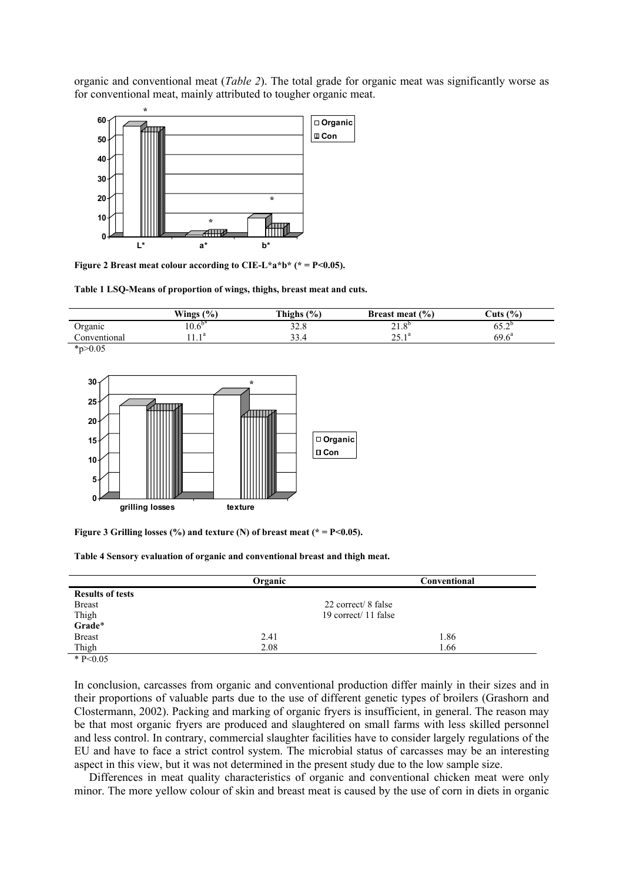organic and conventional meat (*Table 2*). The total grade for organic meat was significantly worse as for conventional meat, mainly attributed to tougher organic meat.



**Figure 2 Breast meat colour according to CIE-L\*a\*b\*** (\* =  $P$  < 0.05).

**Table 1 LSQ-Means of proportion of wings, thighs, breast meat and cuts.** 

|              | Wings $(\% )$ | Thighs $(\% )$   | Breast meat $(\% )$          | Cuts $(\% )$                    |
|--------------|---------------|------------------|------------------------------|---------------------------------|
| Organic      | $10.6^{b*}$   | 32.8             | 21<br>O <sub>D</sub><br>41.0 | $\tau \wedge^0$<br>0 <i>0.4</i> |
| Conventional | $1 \quad 1a$  | $\gamma$<br>33.4 | $25 \times 1^a$<br>2.1       | $69.6^{\circ}$                  |
| * $p > 0.05$ |               |                  |                              |                                 |



Figure 3 Grilling losses (%) and texture (N) of breast meat (\* = P<0.05).

|  |  |  |  | Table 4 Sensory evaluation of organic and conventional breast and thigh meat. |  |  |
|--|--|--|--|-------------------------------------------------------------------------------|--|--|
|  |  |  |  |                                                                               |  |  |

|                         | Organic              | Conventional |  |
|-------------------------|----------------------|--------------|--|
| <b>Results of tests</b> |                      |              |  |
| <b>Breast</b>           | 22 correct/ 8 false  |              |  |
| Thigh                   | 19 correct/ 11 false |              |  |
| Grade*                  |                      |              |  |
| <b>Breast</b>           | 2.41                 | 1.86         |  |
| Thigh                   | 2.08                 | 1.66         |  |
| $+$ D $\Omega$          |                      |              |  |

 $* P < 0.05$ 

In conclusion, carcasses from organic and conventional production differ mainly in their sizes and in their proportions of valuable parts due to the use of different genetic types of broilers (Grashorn and Clostermann, 2002). Packing and marking of organic fryers is insufficient, in general. The reason may be that most organic fryers are produced and slaughtered on small farms with less skilled personnel and less control. In contrary, commercial slaughter facilities have to consider largely regulations of the EU and have to face a strict control system. The microbial status of carcasses may be an interesting aspect in this view, but it was not determined in the present study due to the low sample size.

 Differences in meat quality characteristics of organic and conventional chicken meat were only minor. The more yellow colour of skin and breast meat is caused by the use of corn in diets in organic